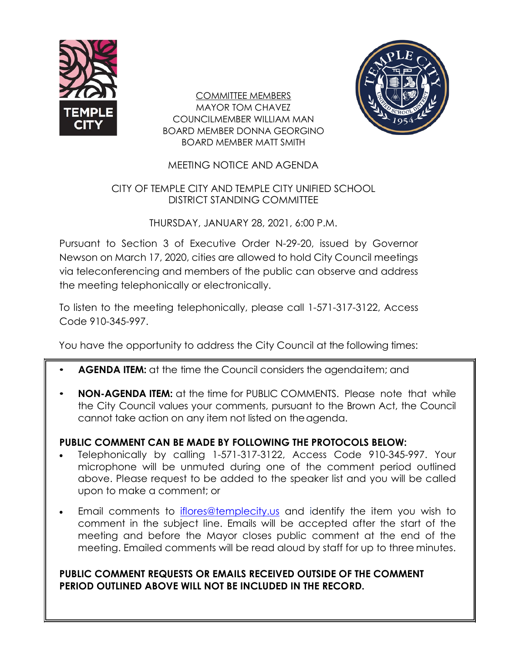

COMMITTEE MEMBERS MAYOR TOM CHAVEZ COUNCILMEMBER WILLIAM MAN BOARD MEMBER DONNA GEORGINO BOARD MEMBER MATT SMITH



## MEETING NOTICE AND AGENDA

## CITY OF TEMPLE CITY AND TEMPLE CITY UNIFIED SCHOOL DISTRICT STANDING COMMITTEE

### THURSDAY, JANUARY 28, 2021, 6:00 P.M.

Pursuant to Section 3 of Executive Order N-29-20, issued by Governor Newson on March 17, 2020, cities are allowed to hold City Council meetings via teleconferencing and members of the public can observe and address the meeting telephonically or electronically.

To listen to the meeting telephonically, please call 1-571-317-3122, Access Code 910-345-997.

You have the opportunity to address the City Council at the following times:

- **AGENDA ITEM:** at the time the Council considers the agendaitem; and
- **NON-AGENDA ITEM:** at the time for PUBLIC COMMENTS. Please note that while the City Council values your comments, pursuant to the Brown Act, the Council cannot take action on any item not listed on the agenda.

# **PUBLIC COMMENT CAN BE MADE BY FOLLOWING THE PROTOCOLS BELOW:**

- Telephonically by calling 1-571-317-3122, Access Code 910-345-997. Your microphone will be unmuted during one of the comment period outlined above. Please request to be added to the speaker list and you will be called upon to make a comment; or
- Email comments to [iflores@templecity.us](mailto:iflores@templecity.us) and identify the item you wish to comment in the subject line. Emails will be accepted after the start of the meeting and before the Mayor closes public comment at the end of the meeting. Emailed comments will be read aloud by staff for up to three minutes.

# **PUBLIC COMMENT REQUESTS OR EMAILS RECEIVED OUTSIDE OF THE COMMENT PERIOD OUTLINED ABOVE WILL NOT BE INCLUDED IN THE RECORD.**